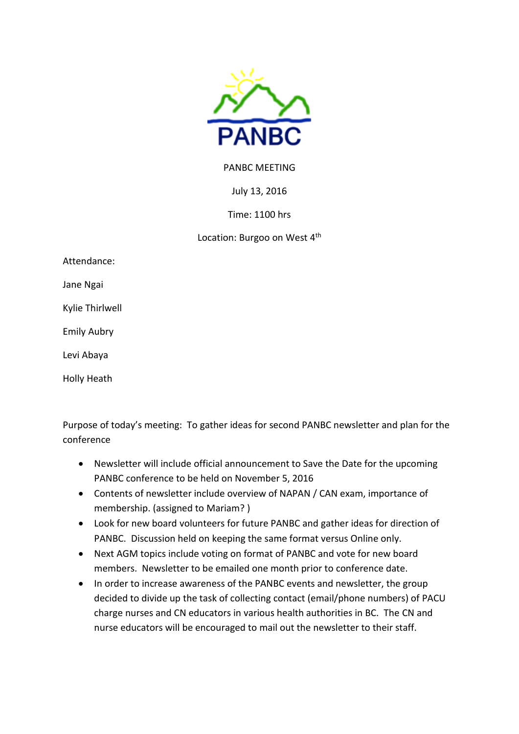

## PANBC MEETING

July 13, 2016

Time: 1100 hrs

Location: Burgoo on West 4<sup>th</sup>

Attendance:

Jane Ngai

Kylie Thirlwell

Emily Aubry

Levi Abaya

Holly Heath

Purpose of today's meeting: To gather ideas for second PANBC newsletter and plan for the conference

- Newsletter will include official announcement to Save the Date for the upcoming PANBC conference to be held on November 5, 2016
- Contents of newsletter include overview of NAPAN / CAN exam, importance of membership. (assigned to Mariam? )
- Look for new board volunteers for future PANBC and gather ideas for direction of PANBC. Discussion held on keeping the same format versus Online only.
- Next AGM topics include voting on format of PANBC and vote for new board members. Newsletter to be emailed one month prior to conference date.
- In order to increase awareness of the PANBC events and newsletter, the group decided to divide up the task of collecting contact (email/phone numbers) of PACU charge nurses and CN educators in various health authorities in BC. The CN and nurse educators will be encouraged to mail out the newsletter to their staff.